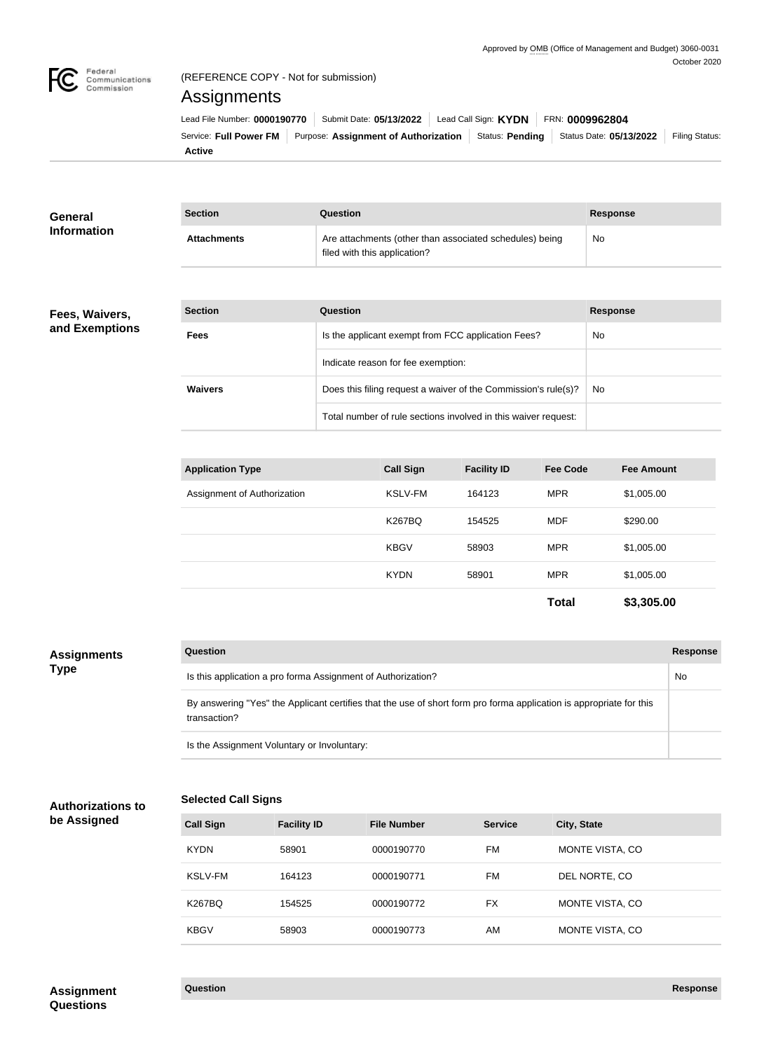

**General Information**

## (REFERENCE COPY - Not for submission)

# Assignments

| Lead File Number: 0000190770 | Submit Date: 05/13/2022 Lead Call Sign: KYDN                                                              |  | FRN: 0009962804 |                |
|------------------------------|-----------------------------------------------------------------------------------------------------------|--|-----------------|----------------|
|                              | Service: Full Power FM   Purpose: Assignment of Authorization   Status: Pending   Status Date: 05/13/2022 |  |                 | Filing Status: |
| Active                       |                                                                                                           |  |                 |                |

| <b>Section</b>     | Question                                                                                | <b>Response</b> |
|--------------------|-----------------------------------------------------------------------------------------|-----------------|
| <b>Attachments</b> | Are attachments (other than associated schedules) being<br>filed with this application? | No.             |

### **Fees, Waivers, and Exemptions**

| <b>Section</b> | Question                                                       | <b>Response</b> |
|----------------|----------------------------------------------------------------|-----------------|
| <b>Fees</b>    | Is the applicant exempt from FCC application Fees?             | No.             |
|                | Indicate reason for fee exemption:                             |                 |
| <b>Waivers</b> | Does this filing request a waiver of the Commission's rule(s)? | No.             |
|                | Total number of rule sections involved in this waiver request: |                 |

| <b>Application Type</b>     | <b>Call Sign</b> | <b>Facility ID</b> | <b>Fee Code</b> | <b>Fee Amount</b> |
|-----------------------------|------------------|--------------------|-----------------|-------------------|
| Assignment of Authorization | <b>KSLV-FM</b>   | 164123             | <b>MPR</b>      | \$1,005.00        |
|                             | <b>K267BQ</b>    | 154525             | <b>MDF</b>      | \$290.00          |
|                             | <b>KBGV</b>      | 58903              | <b>MPR</b>      | \$1,005.00        |
|                             | <b>KYDN</b>      | 58901              | <b>MPR</b>      | \$1,005.00        |
|                             |                  |                    | <b>Total</b>    | \$3,305.00        |

| <b>Assignments</b> | <b>Question</b>                                                                                                                     | Response |
|--------------------|-------------------------------------------------------------------------------------------------------------------------------------|----------|
| <b>Type</b>        | Is this application a pro forma Assignment of Authorization?                                                                        | No       |
|                    | By answering "Yes" the Applicant certifies that the use of short form pro forma application is appropriate for this<br>transaction? |          |
|                    | Is the Assignment Voluntary or Involuntary:                                                                                         |          |

# **Authorizations to**

# **be Assigned**

| <b>Call Sign</b> | <b>Facility ID</b> | <b>File Number</b> | <b>Service</b> | City, State            |
|------------------|--------------------|--------------------|----------------|------------------------|
| <b>KYDN</b>      | 58901              | 0000190770         | FM             | <b>MONTE VISTA, CO</b> |
| KSLV-FM          | 164123             | 0000190771         | FM             | DEL NORTE, CO          |
| <b>K267BQ</b>    | 154525             | 0000190772         | <b>FX</b>      | MONTE VISTA, CO        |
| <b>KBGV</b>      | 58903              | 0000190773         | AM             | MONTE VISTA, CO        |

**Selected Call Signs**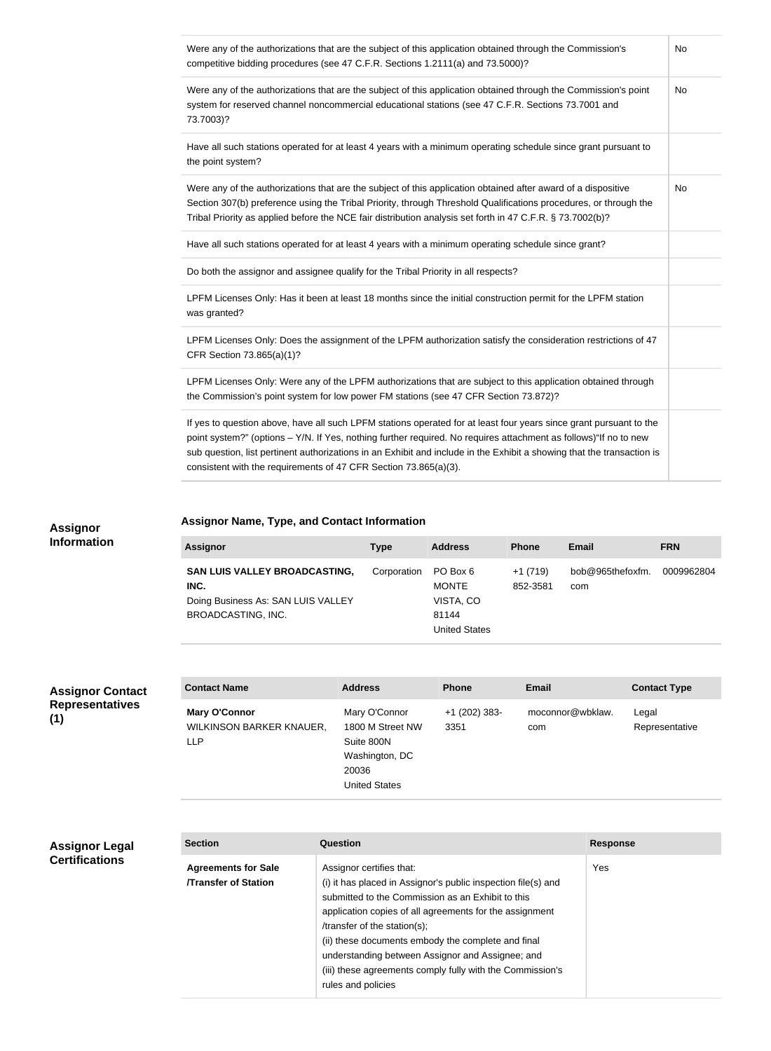| Were any of the authorizations that are the subject of this application obtained through the Commission's<br>competitive bidding procedures (see 47 C.F.R. Sections 1.2111(a) and 73.5000)?                                                                                                                                                                                                                                          | No |
|--------------------------------------------------------------------------------------------------------------------------------------------------------------------------------------------------------------------------------------------------------------------------------------------------------------------------------------------------------------------------------------------------------------------------------------|----|
| Were any of the authorizations that are the subject of this application obtained through the Commission's point<br>system for reserved channel noncommercial educational stations (see 47 C.F.R. Sections 73.7001 and<br>73.7003)?                                                                                                                                                                                                   | No |
| Have all such stations operated for at least 4 years with a minimum operating schedule since grant pursuant to<br>the point system?                                                                                                                                                                                                                                                                                                  |    |
| Were any of the authorizations that are the subject of this application obtained after award of a dispositive<br>Section 307(b) preference using the Tribal Priority, through Threshold Qualifications procedures, or through the<br>Tribal Priority as applied before the NCE fair distribution analysis set forth in 47 C.F.R. § 73.7002(b)?                                                                                       | No |
| Have all such stations operated for at least 4 years with a minimum operating schedule since grant?                                                                                                                                                                                                                                                                                                                                  |    |
| Do both the assignor and assignee qualify for the Tribal Priority in all respects?                                                                                                                                                                                                                                                                                                                                                   |    |
| LPFM Licenses Only: Has it been at least 18 months since the initial construction permit for the LPFM station<br>was granted?                                                                                                                                                                                                                                                                                                        |    |
| LPFM Licenses Only: Does the assignment of the LPFM authorization satisfy the consideration restrictions of 47<br>CFR Section 73.865(a)(1)?                                                                                                                                                                                                                                                                                          |    |
| LPFM Licenses Only: Were any of the LPFM authorizations that are subject to this application obtained through<br>the Commission's point system for low power FM stations (see 47 CFR Section 73.872)?                                                                                                                                                                                                                                |    |
| If yes to question above, have all such LPFM stations operated for at least four years since grant pursuant to the<br>point system?" (options - Y/N. If Yes, nothing further required. No requires attachment as follows)"If no to new<br>sub question, list pertinent authorizations in an Exhibit and include in the Exhibit a showing that the transaction is<br>consistent with the requirements of 47 CFR Section 73.865(a)(3). |    |

## **Assignor Name, Type, and Contact Information**

### **Assignor Type Address Phone Email FRN SAN LUIS VALLEY BROADCASTING, INC.** Doing Business As: SAN LUIS VALLEY BROADCASTING, INC. Corporation PO Box 6 MONTE VISTA, CO 81144 United States +1 (719) 852-3581 bob@965thefoxfm. com 0009962804

**Assignor Contact Representatives (1)**

**Assignor Information**

| <b>Contact Name</b>                                            | <b>Address</b>                                                                                     | <b>Phone</b>            | <b>Email</b>            | <b>Contact Type</b>     |
|----------------------------------------------------------------|----------------------------------------------------------------------------------------------------|-------------------------|-------------------------|-------------------------|
| <b>Mary O'Connor</b><br>WILKINSON BARKER KNAUER,<br><b>LLP</b> | Mary O'Connor<br>1800 M Street NW<br>Suite 800N<br>Washington, DC<br>20036<br><b>United States</b> | $+1$ (202) 383-<br>3351 | moconnor@wbklaw.<br>com | Legal<br>Representative |

### **Assignor Legal Certifications**

| <b>Section</b>                                           | Question                                                                                                                                                                                                                                                                                                                                                                                                                               | <b>Response</b> |
|----------------------------------------------------------|----------------------------------------------------------------------------------------------------------------------------------------------------------------------------------------------------------------------------------------------------------------------------------------------------------------------------------------------------------------------------------------------------------------------------------------|-----------------|
| <b>Agreements for Sale</b><br><b>Transfer of Station</b> | Assignor certifies that:<br>(i) it has placed in Assignor's public inspection file(s) and<br>submitted to the Commission as an Exhibit to this<br>application copies of all agreements for the assignment<br>/transfer of the station(s);<br>(ii) these documents embody the complete and final<br>understanding between Assignor and Assignee; and<br>(iii) these agreements comply fully with the Commission's<br>rules and policies | Yes             |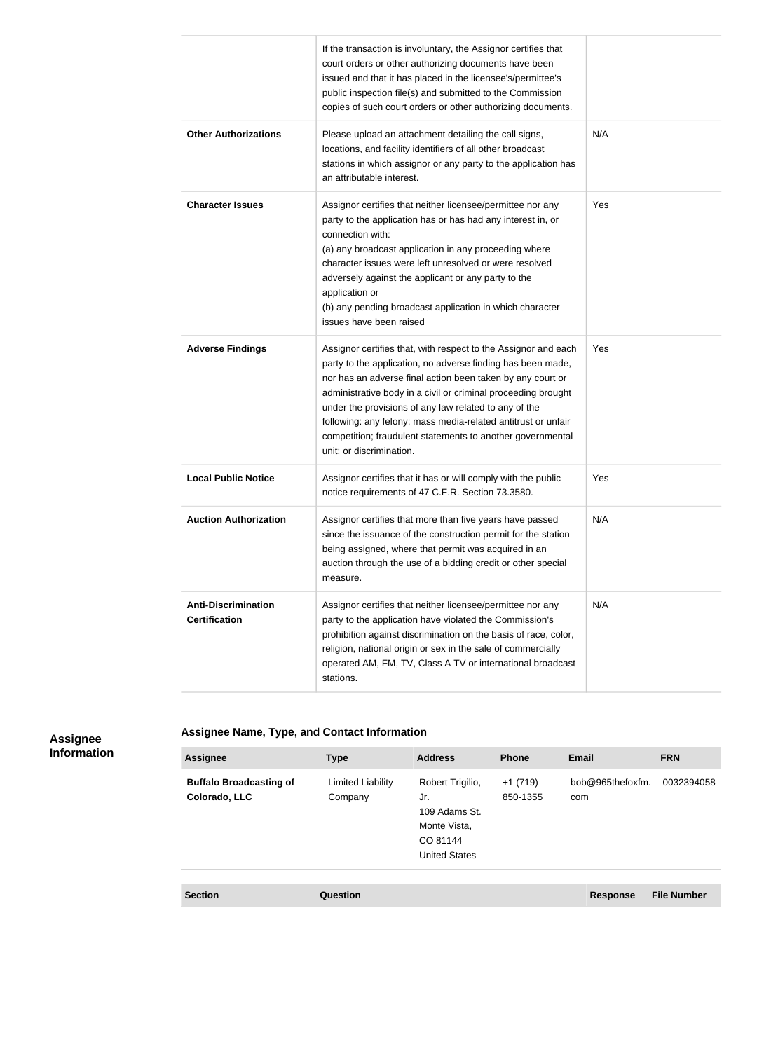|                                                    | If the transaction is involuntary, the Assignor certifies that<br>court orders or other authorizing documents have been<br>issued and that it has placed in the licensee's/permittee's<br>public inspection file(s) and submitted to the Commission<br>copies of such court orders or other authorizing documents.                                                                                                                                                               |     |
|----------------------------------------------------|----------------------------------------------------------------------------------------------------------------------------------------------------------------------------------------------------------------------------------------------------------------------------------------------------------------------------------------------------------------------------------------------------------------------------------------------------------------------------------|-----|
| <b>Other Authorizations</b>                        | Please upload an attachment detailing the call signs,<br>locations, and facility identifiers of all other broadcast<br>stations in which assignor or any party to the application has<br>an attributable interest.                                                                                                                                                                                                                                                               | N/A |
| <b>Character Issues</b>                            | Assignor certifies that neither licensee/permittee nor any<br>party to the application has or has had any interest in, or<br>connection with:<br>(a) any broadcast application in any proceeding where<br>character issues were left unresolved or were resolved<br>adversely against the applicant or any party to the<br>application or<br>(b) any pending broadcast application in which character<br>issues have been raised                                                 | Yes |
| <b>Adverse Findings</b>                            | Assignor certifies that, with respect to the Assignor and each<br>party to the application, no adverse finding has been made,<br>nor has an adverse final action been taken by any court or<br>administrative body in a civil or criminal proceeding brought<br>under the provisions of any law related to any of the<br>following: any felony; mass media-related antitrust or unfair<br>competition; fraudulent statements to another governmental<br>unit; or discrimination. | Yes |
| <b>Local Public Notice</b>                         | Assignor certifies that it has or will comply with the public<br>notice requirements of 47 C.F.R. Section 73.3580.                                                                                                                                                                                                                                                                                                                                                               | Yes |
| <b>Auction Authorization</b>                       | Assignor certifies that more than five years have passed<br>since the issuance of the construction permit for the station<br>being assigned, where that permit was acquired in an<br>auction through the use of a bidding credit or other special<br>measure.                                                                                                                                                                                                                    | N/A |
| <b>Anti-Discrimination</b><br><b>Certification</b> | Assignor certifies that neither licensee/permittee nor any<br>party to the application have violated the Commission's<br>prohibition against discrimination on the basis of race, color,<br>religion, national origin or sex in the sale of commercially<br>operated AM, FM, TV, Class A TV or international broadcast<br>stations.                                                                                                                                              | N/A |

### **Assignee Information**

**Assignee Name, Type, and Contact Information**

| <b>Assignee</b>                                 | <b>Type</b>                  | <b>Address</b>                                                                               | <b>Phone</b>          | Email                   | <b>FRN</b> |
|-------------------------------------------------|------------------------------|----------------------------------------------------------------------------------------------|-----------------------|-------------------------|------------|
| <b>Buffalo Broadcasting of</b><br>Colorado, LLC | Limited Liability<br>Company | Robert Trigilio,<br>Jr.<br>109 Adams St.<br>Monte Vista,<br>CO 81144<br><b>United States</b> | $+1(719)$<br>850-1355 | bob@965thefoxfm.<br>com | 0032394058 |

**Section Question Response File Number**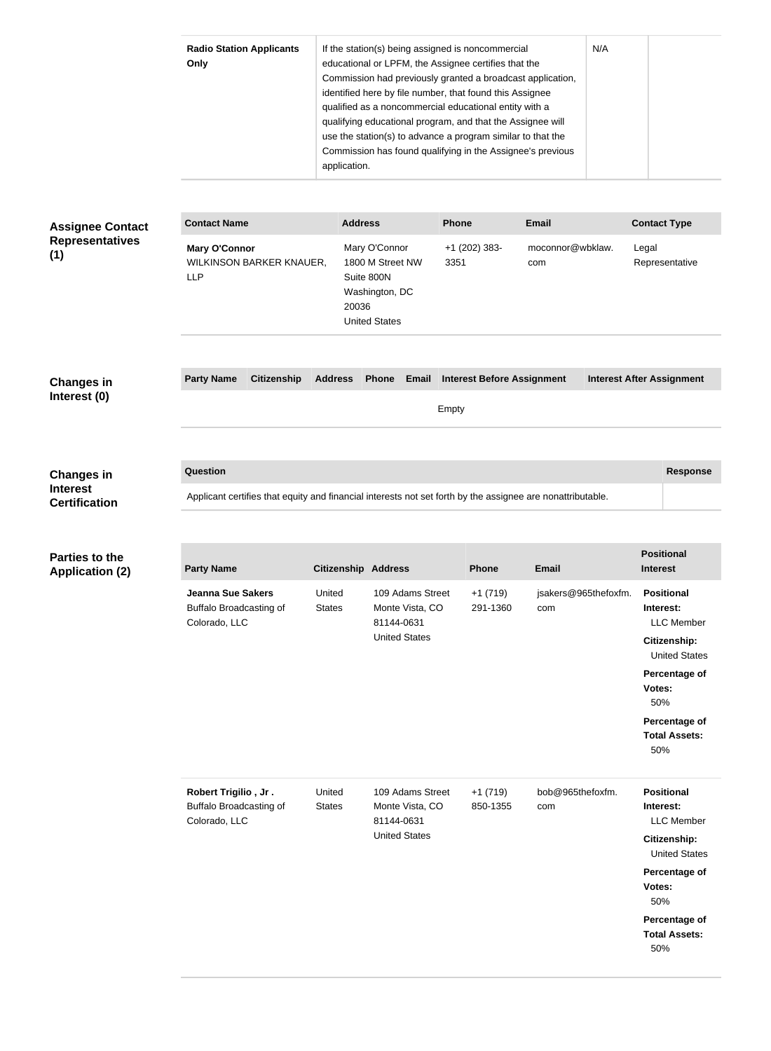|                                                              | <b>Radio Station Applicants</b><br>Only                                                                                | application.               | If the station(s) being assigned is noncommercial<br>educational or LPFM, the Assignee certifies that the<br>Commission had previously granted a broadcast application,<br>identified here by file number, that found this Assignee<br>qualified as a noncommercial educational entity with a<br>qualifying educational program, and that the Assignee will<br>use the station(s) to advance a program similar to that the<br>Commission has found qualifying in the Assignee's previous |                       | N/A                         |                                                                                                                                                                               |
|--------------------------------------------------------------|------------------------------------------------------------------------------------------------------------------------|----------------------------|------------------------------------------------------------------------------------------------------------------------------------------------------------------------------------------------------------------------------------------------------------------------------------------------------------------------------------------------------------------------------------------------------------------------------------------------------------------------------------------|-----------------------|-----------------------------|-------------------------------------------------------------------------------------------------------------------------------------------------------------------------------|
| <b>Assignee Contact</b>                                      | <b>Contact Name</b>                                                                                                    | <b>Address</b>             |                                                                                                                                                                                                                                                                                                                                                                                                                                                                                          | Phone                 | <b>Email</b>                | <b>Contact Type</b>                                                                                                                                                           |
| <b>Representatives</b><br>(1)                                | <b>Mary O'Connor</b><br>WILKINSON BARKER KNAUER,<br><b>LLP</b>                                                         | 20036                      | Mary O'Connor<br>1800 M Street NW<br>Suite 800N<br>Washington, DC<br><b>United States</b>                                                                                                                                                                                                                                                                                                                                                                                                | +1 (202) 383-<br>3351 | moconnor@wbklaw.<br>com     | Legal<br>Representative                                                                                                                                                       |
| <b>Changes in</b>                                            | <b>Party Name</b><br><b>Citizenship</b>                                                                                | <b>Address</b>             | Phone Email Interest Before Assignment                                                                                                                                                                                                                                                                                                                                                                                                                                                   |                       |                             | <b>Interest After Assignment</b>                                                                                                                                              |
| Interest (0)                                                 |                                                                                                                        |                            |                                                                                                                                                                                                                                                                                                                                                                                                                                                                                          | Empty                 |                             |                                                                                                                                                                               |
| <b>Changes in</b><br><b>Interest</b><br><b>Certification</b> | Question<br>Applicant certifies that equity and financial interests not set forth by the assignee are nonattributable. |                            |                                                                                                                                                                                                                                                                                                                                                                                                                                                                                          |                       |                             | <b>Response</b><br><b>Positional</b>                                                                                                                                          |
| <b>Parties to the</b><br><b>Application (2)</b>              | <b>Party Name</b>                                                                                                      | <b>Citizenship Address</b> |                                                                                                                                                                                                                                                                                                                                                                                                                                                                                          | <b>Phone</b>          | <b>Email</b>                | <b>Interest</b>                                                                                                                                                               |
|                                                              | <b>Jeanna Sue Sakers</b><br>Buffalo Broadcasting of<br>Colorado, LLC                                                   | United<br><b>States</b>    | 109 Adams Street<br>Monte Vista, CO<br>81144-0631<br><b>United States</b>                                                                                                                                                                                                                                                                                                                                                                                                                | $+1(719)$<br>291-1360 | jsakers@965thefoxfm.<br>com | <b>Positional</b><br>Interest:<br><b>LLC</b> Member<br>Citizenship:<br><b>United States</b><br>Percentage of<br>Votes:<br>50%<br>Percentage of<br><b>Total Assets:</b><br>50% |
|                                                              | Robert Trigilio, Jr.<br><b>Buffalo Broadcasting of</b><br>Colorado, LLC                                                | United<br><b>States</b>    | 109 Adams Street<br>Monte Vista, CO<br>81144-0631<br><b>United States</b>                                                                                                                                                                                                                                                                                                                                                                                                                | $+1(719)$<br>850-1355 | bob@965thefoxfm.<br>com     | <b>Positional</b><br>Interest:<br><b>LLC</b> Member<br>Citizenship:<br><b>United States</b><br>Percentage of<br>Votes:<br>50%<br>Percentage of<br><b>Total Assets:</b><br>50% |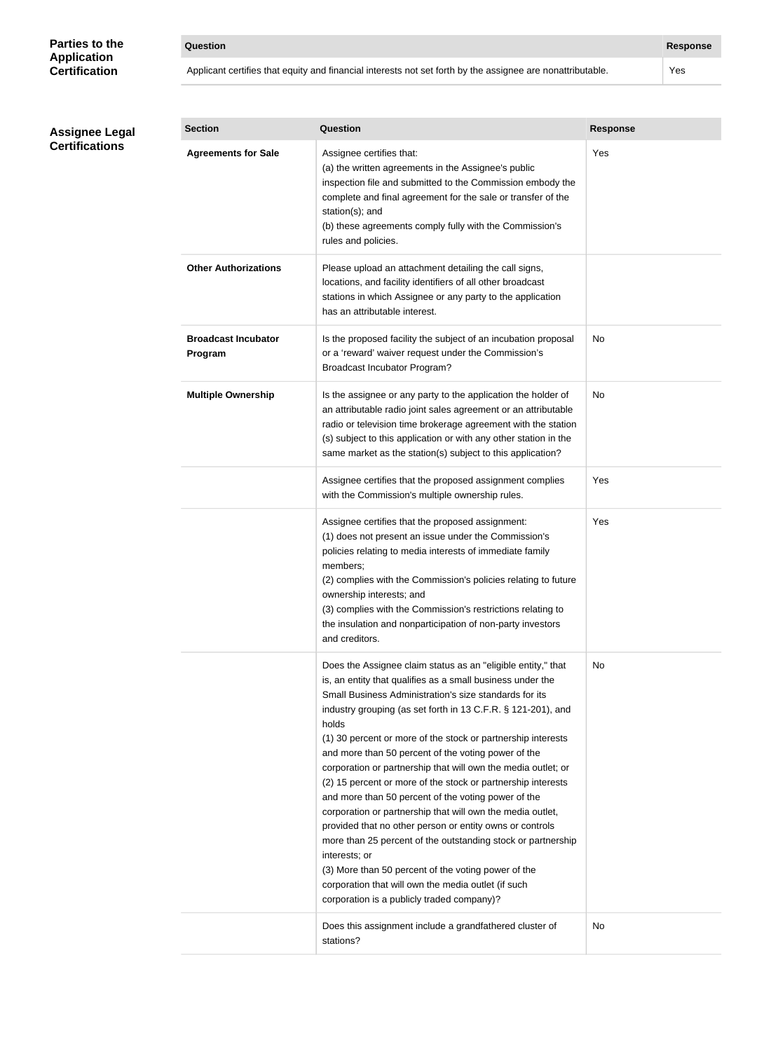### **Parties to the Application Certification**

| <b>Question</b> | <b>Response</b> |
|-----------------|-----------------|
|-----------------|-----------------|

Applicant certifies that equity and financial interests not set forth by the assignee are nonattributable. Yes

### **Assignee Legal Certifications**

| <b>Section</b>                        | Question                                                                                                                                                                                                                                                                                                                                                                                                                                                                                                                                                                                                                                                                                                                                                                                                                                                                                                                                            | <b>Response</b> |
|---------------------------------------|-----------------------------------------------------------------------------------------------------------------------------------------------------------------------------------------------------------------------------------------------------------------------------------------------------------------------------------------------------------------------------------------------------------------------------------------------------------------------------------------------------------------------------------------------------------------------------------------------------------------------------------------------------------------------------------------------------------------------------------------------------------------------------------------------------------------------------------------------------------------------------------------------------------------------------------------------------|-----------------|
| <b>Agreements for Sale</b>            | Assignee certifies that:<br>(a) the written agreements in the Assignee's public<br>inspection file and submitted to the Commission embody the<br>complete and final agreement for the sale or transfer of the<br>station(s); and<br>(b) these agreements comply fully with the Commission's<br>rules and policies.                                                                                                                                                                                                                                                                                                                                                                                                                                                                                                                                                                                                                                  | Yes             |
| <b>Other Authorizations</b>           | Please upload an attachment detailing the call signs,<br>locations, and facility identifiers of all other broadcast<br>stations in which Assignee or any party to the application<br>has an attributable interest.                                                                                                                                                                                                                                                                                                                                                                                                                                                                                                                                                                                                                                                                                                                                  |                 |
| <b>Broadcast Incubator</b><br>Program | Is the proposed facility the subject of an incubation proposal<br>or a 'reward' waiver request under the Commission's<br><b>Broadcast Incubator Program?</b>                                                                                                                                                                                                                                                                                                                                                                                                                                                                                                                                                                                                                                                                                                                                                                                        | No              |
| <b>Multiple Ownership</b>             | Is the assignee or any party to the application the holder of<br>an attributable radio joint sales agreement or an attributable<br>radio or television time brokerage agreement with the station<br>(s) subject to this application or with any other station in the<br>same market as the station(s) subject to this application?                                                                                                                                                                                                                                                                                                                                                                                                                                                                                                                                                                                                                  | No.             |
|                                       | Assignee certifies that the proposed assignment complies<br>with the Commission's multiple ownership rules.                                                                                                                                                                                                                                                                                                                                                                                                                                                                                                                                                                                                                                                                                                                                                                                                                                         | Yes             |
|                                       | Assignee certifies that the proposed assignment:<br>(1) does not present an issue under the Commission's<br>policies relating to media interests of immediate family<br>members;<br>(2) complies with the Commission's policies relating to future<br>ownership interests; and<br>(3) complies with the Commission's restrictions relating to<br>the insulation and nonparticipation of non-party investors<br>and creditors.                                                                                                                                                                                                                                                                                                                                                                                                                                                                                                                       | Yes             |
|                                       | Does the Assignee claim status as an "eligible entity," that<br>is, an entity that qualifies as a small business under the<br>Small Business Administration's size standards for its<br>industry grouping (as set forth in 13 C.F.R. § 121-201), and<br>holds<br>(1) 30 percent or more of the stock or partnership interests<br>and more than 50 percent of the voting power of the<br>corporation or partnership that will own the media outlet; or<br>(2) 15 percent or more of the stock or partnership interests<br>and more than 50 percent of the voting power of the<br>corporation or partnership that will own the media outlet,<br>provided that no other person or entity owns or controls<br>more than 25 percent of the outstanding stock or partnership<br>interests; or<br>(3) More than 50 percent of the voting power of the<br>corporation that will own the media outlet (if such<br>corporation is a publicly traded company)? | No              |
|                                       | Does this assignment include a grandfathered cluster of<br>stations?                                                                                                                                                                                                                                                                                                                                                                                                                                                                                                                                                                                                                                                                                                                                                                                                                                                                                | No              |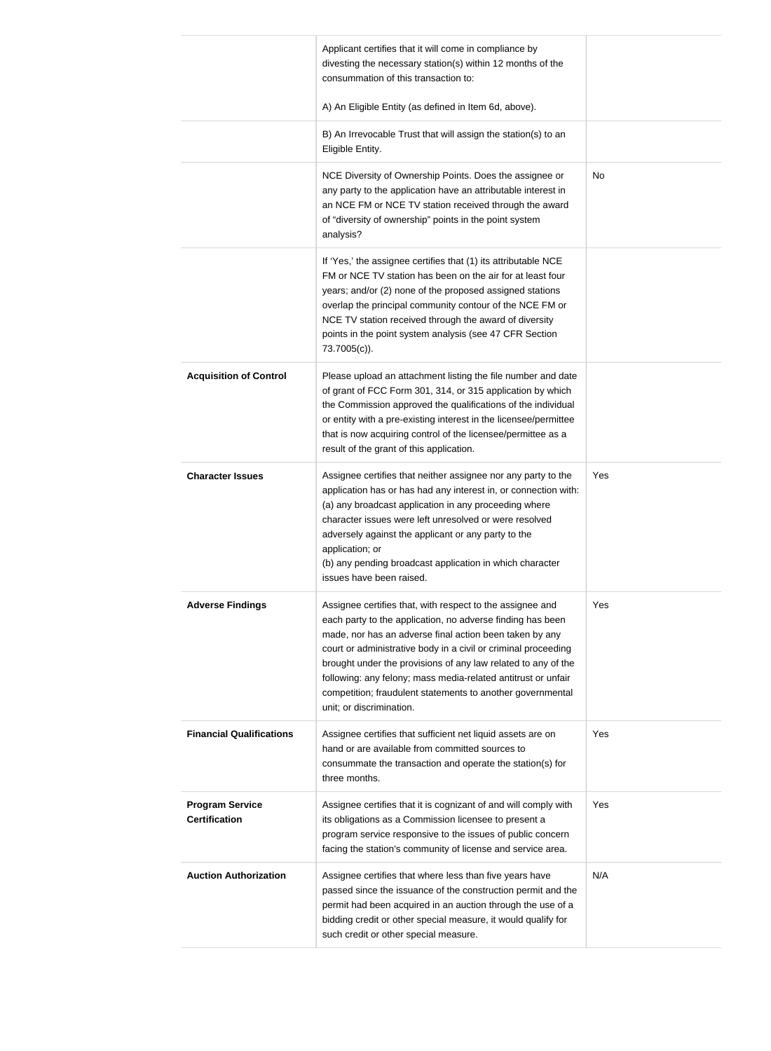|                                                | Applicant certifies that it will come in compliance by<br>divesting the necessary station(s) within 12 months of the<br>consummation of this transaction to:                                                                                                                                                                                                                                                                                                                     |           |
|------------------------------------------------|----------------------------------------------------------------------------------------------------------------------------------------------------------------------------------------------------------------------------------------------------------------------------------------------------------------------------------------------------------------------------------------------------------------------------------------------------------------------------------|-----------|
|                                                | A) An Eligible Entity (as defined in Item 6d, above).                                                                                                                                                                                                                                                                                                                                                                                                                            |           |
|                                                | B) An Irrevocable Trust that will assign the station(s) to an<br>Eligible Entity.                                                                                                                                                                                                                                                                                                                                                                                                |           |
|                                                | NCE Diversity of Ownership Points. Does the assignee or<br>any party to the application have an attributable interest in<br>an NCE FM or NCE TV station received through the award<br>of "diversity of ownership" points in the point system<br>analysis?                                                                                                                                                                                                                        | <b>No</b> |
|                                                | If 'Yes,' the assignee certifies that (1) its attributable NCE<br>FM or NCE TV station has been on the air for at least four<br>years; and/or (2) none of the proposed assigned stations<br>overlap the principal community contour of the NCE FM or<br>NCE TV station received through the award of diversity<br>points in the point system analysis (see 47 CFR Section<br>73.7005(c)).                                                                                        |           |
| <b>Acquisition of Control</b>                  | Please upload an attachment listing the file number and date<br>of grant of FCC Form 301, 314, or 315 application by which<br>the Commission approved the qualifications of the individual<br>or entity with a pre-existing interest in the licensee/permittee<br>that is now acquiring control of the licensee/permittee as a<br>result of the grant of this application.                                                                                                       |           |
| <b>Character Issues</b>                        | Assignee certifies that neither assignee nor any party to the<br>application has or has had any interest in, or connection with:<br>(a) any broadcast application in any proceeding where<br>character issues were left unresolved or were resolved<br>adversely against the applicant or any party to the<br>application; or<br>(b) any pending broadcast application in which character<br>issues have been raised.                                                            | Yes       |
| <b>Adverse Findings</b>                        | Assignee certifies that, with respect to the assignee and<br>each party to the application, no adverse finding has been<br>made, nor has an adverse final action been taken by any<br>court or administrative body in a civil or criminal proceeding<br>brought under the provisions of any law related to any of the<br>following: any felony; mass media-related antitrust or unfair<br>competition; fraudulent statements to another governmental<br>unit; or discrimination. | Yes       |
| <b>Financial Qualifications</b>                | Assignee certifies that sufficient net liquid assets are on<br>hand or are available from committed sources to<br>consummate the transaction and operate the station(s) for<br>three months.                                                                                                                                                                                                                                                                                     | Yes       |
| <b>Program Service</b><br><b>Certification</b> | Assignee certifies that it is cognizant of and will comply with<br>its obligations as a Commission licensee to present a<br>program service responsive to the issues of public concern<br>facing the station's community of license and service area.                                                                                                                                                                                                                            | Yes       |
| <b>Auction Authorization</b>                   | Assignee certifies that where less than five years have<br>passed since the issuance of the construction permit and the<br>permit had been acquired in an auction through the use of a<br>bidding credit or other special measure, it would qualify for<br>such credit or other special measure.                                                                                                                                                                                 | N/A       |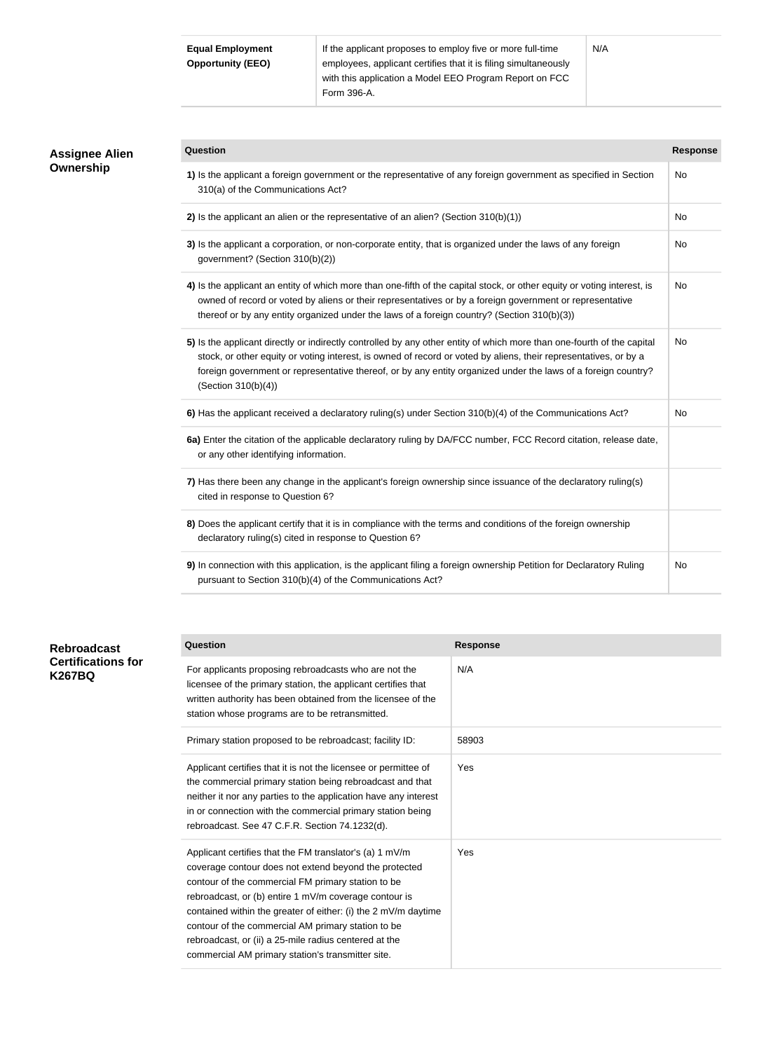| <b>Equal Employment</b>  | If the applicant proposes to employ five or more full-time      |  |  |
|--------------------------|-----------------------------------------------------------------|--|--|
| <b>Opportunity (EEO)</b> | employees, applicant certifies that it is filing simultaneously |  |  |
|                          | with this application a Model EEO Program Report on FCC         |  |  |
|                          | Form 396-A.                                                     |  |  |

| <b>Assignee Alien</b><br>Ownership | Question                                                                                                                                                                                                                                                                                                                                                                           | <b>Response</b> |
|------------------------------------|------------------------------------------------------------------------------------------------------------------------------------------------------------------------------------------------------------------------------------------------------------------------------------------------------------------------------------------------------------------------------------|-----------------|
|                                    | 1) Is the applicant a foreign government or the representative of any foreign government as specified in Section<br>310(a) of the Communications Act?                                                                                                                                                                                                                              | No              |
|                                    | 2) Is the applicant an alien or the representative of an alien? (Section $310(b)(1)$ )                                                                                                                                                                                                                                                                                             | No              |
|                                    | 3) Is the applicant a corporation, or non-corporate entity, that is organized under the laws of any foreign<br>government? (Section 310(b)(2))                                                                                                                                                                                                                                     | No              |
|                                    | 4) Is the applicant an entity of which more than one-fifth of the capital stock, or other equity or voting interest, is<br>owned of record or voted by aliens or their representatives or by a foreign government or representative<br>thereof or by any entity organized under the laws of a foreign country? (Section 310(b)(3))                                                 | No              |
|                                    | 5) Is the applicant directly or indirectly controlled by any other entity of which more than one-fourth of the capital<br>stock, or other equity or voting interest, is owned of record or voted by aliens, their representatives, or by a<br>foreign government or representative thereof, or by any entity organized under the laws of a foreign country?<br>(Section 310(b)(4)) | No              |
|                                    | 6) Has the applicant received a declaratory ruling(s) under Section 310(b)(4) of the Communications Act?                                                                                                                                                                                                                                                                           | No              |
|                                    | 6a) Enter the citation of the applicable declaratory ruling by DA/FCC number, FCC Record citation, release date,<br>or any other identifying information.                                                                                                                                                                                                                          |                 |
|                                    | 7) Has there been any change in the applicant's foreign ownership since issuance of the declaratory ruling(s)<br>cited in response to Question 6?                                                                                                                                                                                                                                  |                 |
|                                    | 8) Does the applicant certify that it is in compliance with the terms and conditions of the foreign ownership<br>declaratory ruling(s) cited in response to Question 6?                                                                                                                                                                                                            |                 |
|                                    | 9) In connection with this application, is the applicant filing a foreign ownership Petition for Declaratory Ruling<br>pursuant to Section 310(b)(4) of the Communications Act?                                                                                                                                                                                                    | No              |

| <b>Rebroadcast</b><br><b>Certifications for</b><br><b>K267BQ</b> | Question                                                                                                                                                                                                                                                                                                                                                                                                                                                              | <b>Response</b> |
|------------------------------------------------------------------|-----------------------------------------------------------------------------------------------------------------------------------------------------------------------------------------------------------------------------------------------------------------------------------------------------------------------------------------------------------------------------------------------------------------------------------------------------------------------|-----------------|
|                                                                  | For applicants proposing rebroadcasts who are not the<br>licensee of the primary station, the applicant certifies that<br>written authority has been obtained from the licensee of the<br>station whose programs are to be retransmitted.                                                                                                                                                                                                                             | N/A             |
|                                                                  | Primary station proposed to be rebroadcast; facility ID:                                                                                                                                                                                                                                                                                                                                                                                                              | 58903           |
|                                                                  | Applicant certifies that it is not the licensee or permittee of<br>the commercial primary station being rebroadcast and that<br>neither it nor any parties to the application have any interest<br>in or connection with the commercial primary station being<br>rebroadcast. See 47 C.F.R. Section 74.1232(d).                                                                                                                                                       | Yes             |
|                                                                  | Applicant certifies that the FM translator's (a) 1 mV/m<br>coverage contour does not extend beyond the protected<br>contour of the commercial FM primary station to be<br>rebroadcast, or (b) entire 1 mV/m coverage contour is<br>contained within the greater of either: (i) the 2 mV/m daytime<br>contour of the commercial AM primary station to be<br>rebroadcast, or (ii) a 25-mile radius centered at the<br>commercial AM primary station's transmitter site. | Yes             |

N/A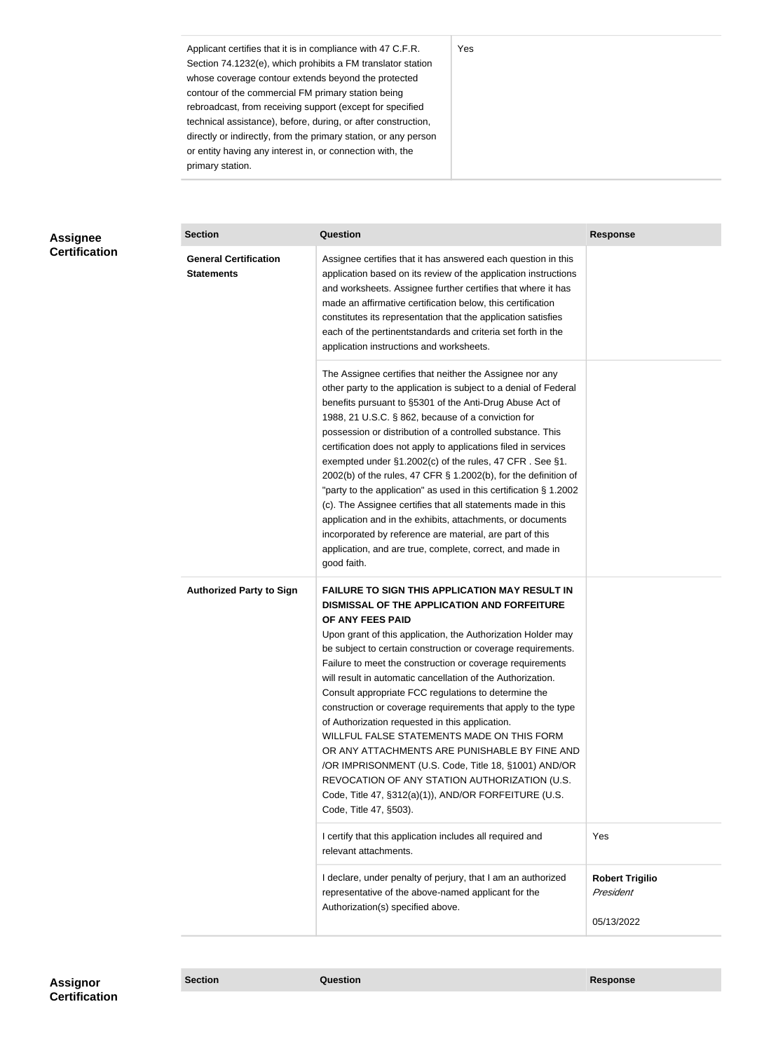Applicant certifies that it is in compliance with 47 C.F.R. Section 74.1232(e), which prohibits a FM translator station whose coverage contour extends beyond the protected contour of the commercial FM primary station being rebroadcast, from receiving support (except for specified technical assistance), before, during, or after construction, directly or indirectly, from the primary station, or any person or entity having any interest in, or connection with, the primary station.

### **Assignee Certification**

| <b>Section</b>                                    | Question                                                                                                                                                                                                                                                                                                                                                                                                                                                                                                                                                                                                                                                                                                                                                                                                                                                  | <b>Response</b>                                   |
|---------------------------------------------------|-----------------------------------------------------------------------------------------------------------------------------------------------------------------------------------------------------------------------------------------------------------------------------------------------------------------------------------------------------------------------------------------------------------------------------------------------------------------------------------------------------------------------------------------------------------------------------------------------------------------------------------------------------------------------------------------------------------------------------------------------------------------------------------------------------------------------------------------------------------|---------------------------------------------------|
| <b>General Certification</b><br><b>Statements</b> | Assignee certifies that it has answered each question in this<br>application based on its review of the application instructions<br>and worksheets. Assignee further certifies that where it has<br>made an affirmative certification below, this certification<br>constitutes its representation that the application satisfies<br>each of the pertinentstandards and criteria set forth in the<br>application instructions and worksheets.                                                                                                                                                                                                                                                                                                                                                                                                              |                                                   |
|                                                   | The Assignee certifies that neither the Assignee nor any<br>other party to the application is subject to a denial of Federal<br>benefits pursuant to §5301 of the Anti-Drug Abuse Act of<br>1988, 21 U.S.C. § 862, because of a conviction for<br>possession or distribution of a controlled substance. This<br>certification does not apply to applications filed in services<br>exempted under §1.2002(c) of the rules, 47 CFR. See §1.<br>2002(b) of the rules, 47 CFR § 1.2002(b), for the definition of<br>"party to the application" as used in this certification § 1.2002<br>(c). The Assignee certifies that all statements made in this<br>application and in the exhibits, attachments, or documents<br>incorporated by reference are material, are part of this<br>application, and are true, complete, correct, and made in<br>good faith.   |                                                   |
| <b>Authorized Party to Sign</b>                   | <b>FAILURE TO SIGN THIS APPLICATION MAY RESULT IN</b><br>DISMISSAL OF THE APPLICATION AND FORFEITURE<br>OF ANY FEES PAID<br>Upon grant of this application, the Authorization Holder may<br>be subject to certain construction or coverage requirements.<br>Failure to meet the construction or coverage requirements<br>will result in automatic cancellation of the Authorization.<br>Consult appropriate FCC regulations to determine the<br>construction or coverage requirements that apply to the type<br>of Authorization requested in this application.<br>WILLFUL FALSE STATEMENTS MADE ON THIS FORM<br>OR ANY ATTACHMENTS ARE PUNISHABLE BY FINE AND<br>/OR IMPRISONMENT (U.S. Code, Title 18, §1001) AND/OR<br>REVOCATION OF ANY STATION AUTHORIZATION (U.S.<br>Code, Title 47, §312(a)(1)), AND/OR FORFEITURE (U.S.<br>Code, Title 47, §503). |                                                   |
|                                                   | I certify that this application includes all required and<br>relevant attachments.                                                                                                                                                                                                                                                                                                                                                                                                                                                                                                                                                                                                                                                                                                                                                                        | Yes                                               |
|                                                   | I declare, under penalty of perjury, that I am an authorized<br>representative of the above-named applicant for the<br>Authorization(s) specified above.                                                                                                                                                                                                                                                                                                                                                                                                                                                                                                                                                                                                                                                                                                  | <b>Robert Trigilio</b><br>President<br>05/13/2022 |

Yes